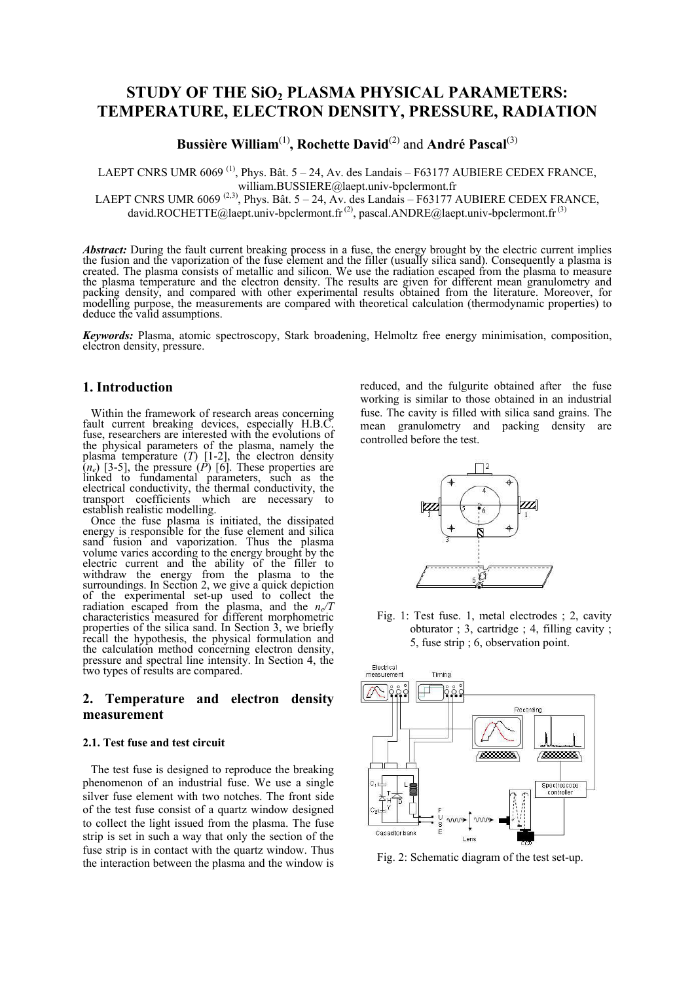# **STUDY OF THE SiO2 PLASMA PHYSICAL PARAMETERS: TEMPERATURE, ELECTRON DENSITY, PRESSURE, RADIATION**

**Bussière William**(1)**, Rochette David**(2) and **André Pascal**(3)

LAEPT CNRS UMR 6069<sup>(1)</sup>, Phys. Bât.  $5 - 24$ , Av. des Landais – F63177 AUBIERE CEDEX FRANCE, william.BUSSIERE@laept.univ-bpclermont.fr

LAEPT CNRS UMR 6069<sup>(2,3)</sup>, Phys. Bât. 5 – 24, Av. des Landais – F63177 AUBIERE CEDEX FRANCE, david.ROCHETTE@laept.univ-bpclermont.fr<sup>(2)</sup>, pascal.ANDRE@laept.univ-bpclermont.fr<sup>(3)</sup>

*Abstract:* During the fault current breaking process in a fuse, the energy brought by the electric current implies the fusion and the vaporization of the fuse element and the filler (usually silica sand). Consequently a plasma is created. The plasma consists of metallic and silicon. We use the radiation escaped from the plasma to measure the plasma temperature and the electron density. The results are given for different mean granulometry and packing density, and compared with other experimental results obtained from the literature. Moreover, for modelling purpose, the measurements are compared with theoretical calculation (thermodynamic properties) to deduce the valid assumptions.

*Keywords:* Plasma, atomic spectroscopy, Stark broadening, Helmoltz free energy minimisation, composition, electron density, pressure.

#### **1. Introduction**

Within the framework of research areas concerning fault current breaking devices, especially H.B.C. fuse, researchers are interested with the evolutions of the physical parameters of the plasma, namely the plasma temperature (*T*) [1-2], the electron density  $(n_e)$  [3-5], the pressure  $(P)$  [6]. These properties are linked to fundamental parameters, such as the electrical conductivity, the thermal conductivity, the transport coefficients which are necessary to establish realistic modelling.

Once the fuse plasma is initiated, the dissipated energy is responsible for the fuse element and silica sand fusion and vaporization. Thus the plasma volume varies according to the energy brought by the electric current and the ability of the filler to withdraw the energy from the plasma to the surroundings. In Section 2, we give a quick depiction of the experimental set-up used to collect the radiation escaped from the plasma, and the *n<sup>e</sup> /T* characteristics measured for different morphometric properties of the silica sand. In Section 3, we briefly recall the hypothesis, the physical formulation and the calculation method concerning electron density, pressure and spectral line intensity. In Section 4, the two types of results are compared.

## **2. Temperature and electron density measurement**

#### **2.1. Test fuse and test circuit**

The test fuse is designed to reproduce the breaking phenomenon of an industrial fuse. We use a single silver fuse element with two notches. The front side of the test fuse consist of a quartz window designed to collect the light issued from the plasma. The fuse strip is set in such a way that only the section of the fuse strip is in contact with the quartz window. Thus the interaction between the plasma and the window is

reduced, and the fulgurite obtained after the fuse working is similar to those obtained in an industrial fuse. The cavity is filled with silica sand grains. The mean granulometry and packing density are controlled before the test.



Fig. 1: Test fuse. 1, metal electrodes ; 2, cavity obturator ; 3, cartridge ; 4, filling cavity ; 5, fuse strip ; 6, observation point.



Fig. 2: Schematic diagram of the test set-up.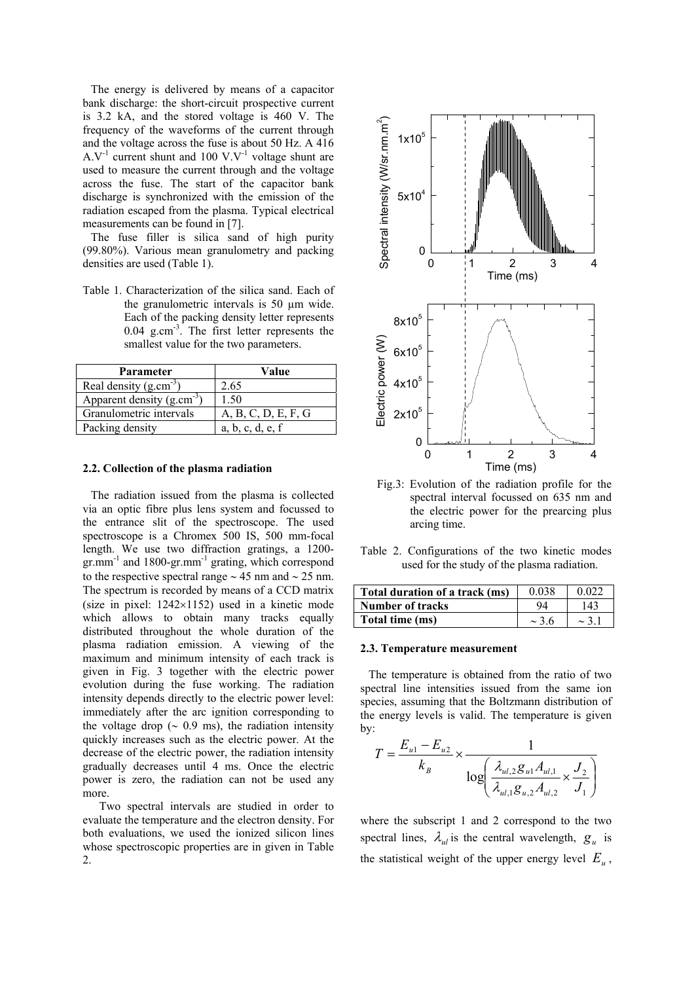The energy is delivered by means of a capacitor bank discharge: the short-circuit prospective current is 3.2 kA, and the stored voltage is 460 V. The frequency of the waveforms of the current through and the voltage across the fuse is about 50 Hz. A 416  $A.V^{-1}$  current shunt and 100 V.V<sup>-1</sup> voltage shunt are used to measure the current through and the voltage across the fuse. The start of the capacitor bank discharge is synchronized with the emission of the radiation escaped from the plasma. Typical electrical measurements can be found in [7].

The fuse filler is silica sand of high purity (99.80%). Various mean granulometry and packing densities are used (Table 1).

Table 1. Characterization of the silica sand. Each of the granulometric intervals is 50 µm wide. Each of the packing density letter represents 0.04 g.cm-3. The first letter represents the smallest value for the two parameters.

| Parameter                      | Value               |  |  |
|--------------------------------|---------------------|--|--|
| Real density $(g.cm^{-3})$     | 2.65                |  |  |
| Apparent density $(g.cm^{-3})$ | 1.50                |  |  |
| Granulometric intervals        | A, B, C, D, E, F, G |  |  |
| Packing density                | a, b, c, d, e, f    |  |  |

### **2.2. Collection of the plasma radiation**

The radiation issued from the plasma is collected via an optic fibre plus lens system and focussed to the entrance slit of the spectroscope. The used spectroscope is a Chromex 500 IS, 500 mm-focal length. We use two diffraction gratings, a 1200 gr.mm<sup>-1</sup> and 1800-gr.mm<sup>-1</sup> grating, which correspond to the respective spectral range  $\sim$  45 nm and  $\sim$  25 nm. The spectrum is recorded by means of a CCD matrix (size in pixel: 1242×1152) used in a kinetic mode which allows to obtain many tracks equally distributed throughout the whole duration of the plasma radiation emission. A viewing of the maximum and minimum intensity of each track is given in Fig. 3 together with the electric power evolution during the fuse working. The radiation intensity depends directly to the electric power level: immediately after the arc ignition corresponding to the voltage drop ( $\sim$  0.9 ms), the radiation intensity quickly increases such as the electric power. At the decrease of the electric power, the radiation intensity gradually decreases until 4 ms. Once the electric power is zero, the radiation can not be used any more.

Two spectral intervals are studied in order to evaluate the temperature and the electron density. For both evaluations, we used the ionized silicon lines whose spectroscopic properties are in given in Table 2.



Fig.3: Evolution of the radiation profile for the spectral interval focussed on 635 nm and the electric power for the prearcing plus arcing time.

Table 2. Configurations of the two kinetic modes used for the study of the plasma radiation.

| Total duration of a track (ms) | 0.038      | 0.022      |
|--------------------------------|------------|------------|
| Number of tracks               | 94         | 143        |
| Total time (ms)                | $\sim$ 3.6 | $\sim$ 3.1 |

#### **2.3. Temperature measurement**

The temperature is obtained from the ratio of two spectral line intensities issued from the same ion species, assuming that the Boltzmann distribution of the energy levels is valid. The temperature is given by:

$$
T = \frac{E_{u1} - E_{u2}}{k_B} \times \frac{1}{\log\left(\frac{\lambda_{ul,2}g_{ul}A_{ul,1}}{\lambda_{ul,1}g_{u,2}A_{ul,2}} \times \frac{J_2}{J_1}\right)}
$$

where the subscript 1 and 2 correspond to the two spectral lines,  $\lambda_{ul}$  is the central wavelength,  $g_u$  is the statistical weight of the upper energy level  $E_u$ ,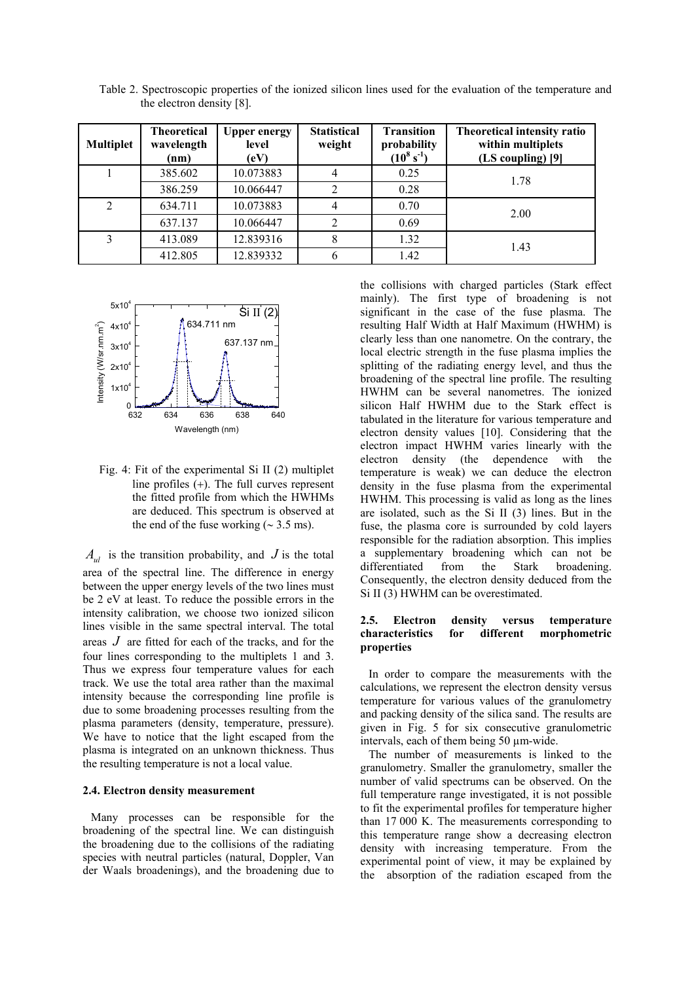| <b>Multiplet</b> | <b>Theoretical</b><br>wavelength<br>(nm) | <b>Upper energy</b><br>level<br>(eV) | <b>Statistical</b><br>weight | <b>Transition</b><br>probability<br>$(10^8 \text{ s}^{-1})$ | <b>Theoretical intensity ratio</b><br>within multiplets<br>(LS coupling) [9] |  |
|------------------|------------------------------------------|--------------------------------------|------------------------------|-------------------------------------------------------------|------------------------------------------------------------------------------|--|
|                  | 385.602                                  | 10.073883                            | 4                            | 0.25                                                        | 1.78                                                                         |  |
|                  | 386.259                                  | 10.066447                            |                              | 0.28                                                        |                                                                              |  |
| $\overline{2}$   | 634.711                                  | 10.073883                            | $\overline{4}$               | 0.70                                                        | 2.00                                                                         |  |
|                  | 637.137                                  | 10.066447                            |                              | 0.69                                                        |                                                                              |  |
| 3                | 413.089                                  | 12.839316                            | 8                            | 1.32                                                        | 1.43                                                                         |  |
|                  | 412.805                                  | 12.839332                            | h                            | 1.42                                                        |                                                                              |  |

Table 2. Spectroscopic properties of the ionized silicon lines used for the evaluation of the temperature and the electron density [8].



Fig. 4: Fit of the experimental Si II (2) multiplet line profiles (+). The full curves represent the fitted profile from which the HWHMs are deduced. This spectrum is observed at the end of the fuse working  $(~ 3.5 \text{ ms})$ .

 $A_{\mu}$  is the transition probability, and  $J$  is the total area of the spectral line. The difference in energy between the upper energy levels of the two lines must be 2 eV at least. To reduce the possible errors in the intensity calibration, we choose two ionized silicon lines visible in the same spectral interval. The total areas *J* are fitted for each of the tracks, and for the four lines corresponding to the multiplets 1 and 3. Thus we express four temperature values for each track. We use the total area rather than the maximal intensity because the corresponding line profile is due to some broadening processes resulting from the plasma parameters (density, temperature, pressure). We have to notice that the light escaped from the plasma is integrated on an unknown thickness. Thus the resulting temperature is not a local value.

#### **2.4. Electron density measurement**

Many processes can be responsible for the broadening of the spectral line. We can distinguish the broadening due to the collisions of the radiating species with neutral particles (natural, Doppler, Van der Waals broadenings), and the broadening due to

the collisions with charged particles (Stark effect mainly). The first type of broadening is not significant in the case of the fuse plasma. The resulting Half Width at Half Maximum (HWHM) is clearly less than one nanometre. On the contrary, the local electric strength in the fuse plasma implies the splitting of the radiating energy level, and thus the broadening of the spectral line profile. The resulting HWHM can be several nanometres. The ionized silicon Half HWHM due to the Stark effect is tabulated in the literature for various temperature and electron density values [10]. Considering that the electron impact HWHM varies linearly with the electron density (the dependence with the temperature is weak) we can deduce the electron density in the fuse plasma from the experimental HWHM. This processing is valid as long as the lines are isolated, such as the Si II (3) lines. But in the fuse, the plasma core is surrounded by cold layers responsible for the radiation absorption. This implies a supplementary broadening which can not be differentiated from the Stark broadening. differentiated Consequently, the electron density deduced from the Si II (3) HWHM can be overestimated.

### **2.5. Electron density versus temperature characteristics for different morphometric properties**

In order to compare the measurements with the calculations, we represent the electron density versus temperature for various values of the granulometry and packing density of the silica sand. The results are given in Fig. 5 for six consecutive granulometric intervals, each of them being 50 µm-wide.

The number of measurements is linked to the granulometry. Smaller the granulometry, smaller the number of valid spectrums can be observed. On the full temperature range investigated, it is not possible to fit the experimental profiles for temperature higher than 17 000 K. The measurements corresponding to this temperature range show a decreasing electron density with increasing temperature. From the experimental point of view, it may be explained by the absorption of the radiation escaped from the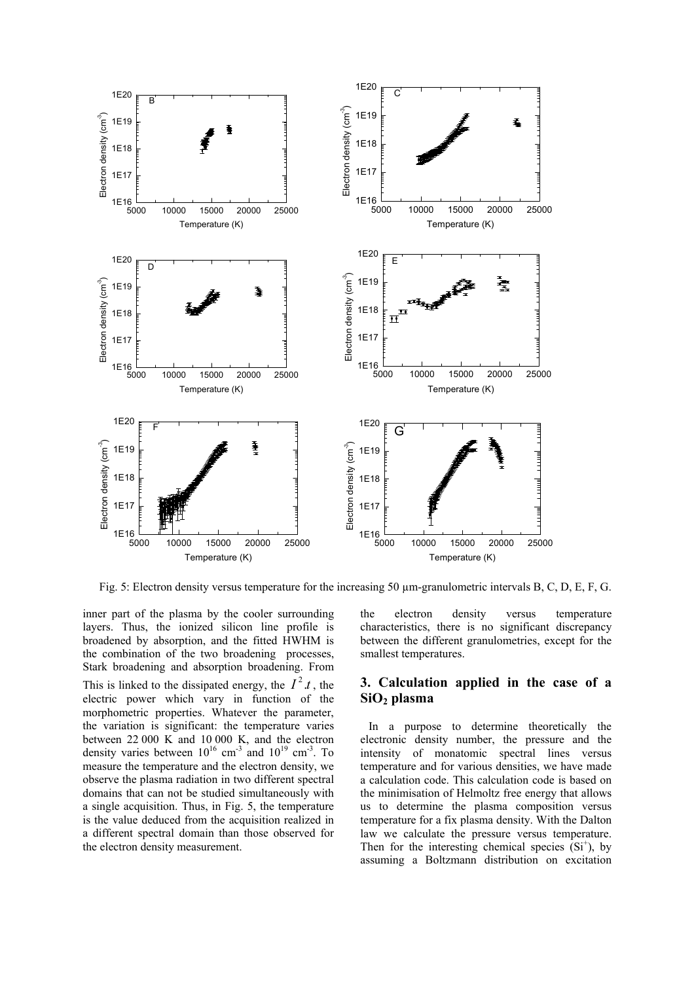

Fig. 5: Electron density versus temperature for the increasing 50 µm-granulometric intervals B, C, D, E, F, G.

inner part of the plasma by the cooler surrounding layers. Thus, the ionized silicon line profile is broadened by absorption, and the fitted HWHM is the combination of the two broadening processes, Stark broadening and absorption broadening. From This is linked to the dissipated energy, the  $I^2$ .*t*, the electric power which vary in function of the morphometric properties. Whatever the parameter, the variation is significant: the temperature varies between 22 000 K and 10 000 K, and the electron density varies between  $10^{16}$  cm<sup>-3</sup> and  $10^{19}$  cm<sup>-3</sup>. To measure the temperature and the electron density, we observe the plasma radiation in two different spectral domains that can not be studied simultaneously with a single acquisition. Thus, in Fig. 5, the temperature is the value deduced from the acquisition realized in a different spectral domain than those observed for the electron density measurement.

the electron density versus temperature characteristics, there is no significant discrepancy between the different granulometries, except for the smallest temperatures.

## **3. Calculation applied in the case of a SiO2 plasma**

In a purpose to determine theoretically the electronic density number, the pressure and the intensity of monatomic spectral lines versus temperature and for various densities, we have made a calculation code. This calculation code is based on the minimisation of Helmoltz free energy that allows us to determine the plasma composition versus temperature for a fix plasma density. With the Dalton law we calculate the pressure versus temperature. Then for the interesting chemical species  $(Si<sup>+</sup>)$ , by assuming a Boltzmann distribution on excitation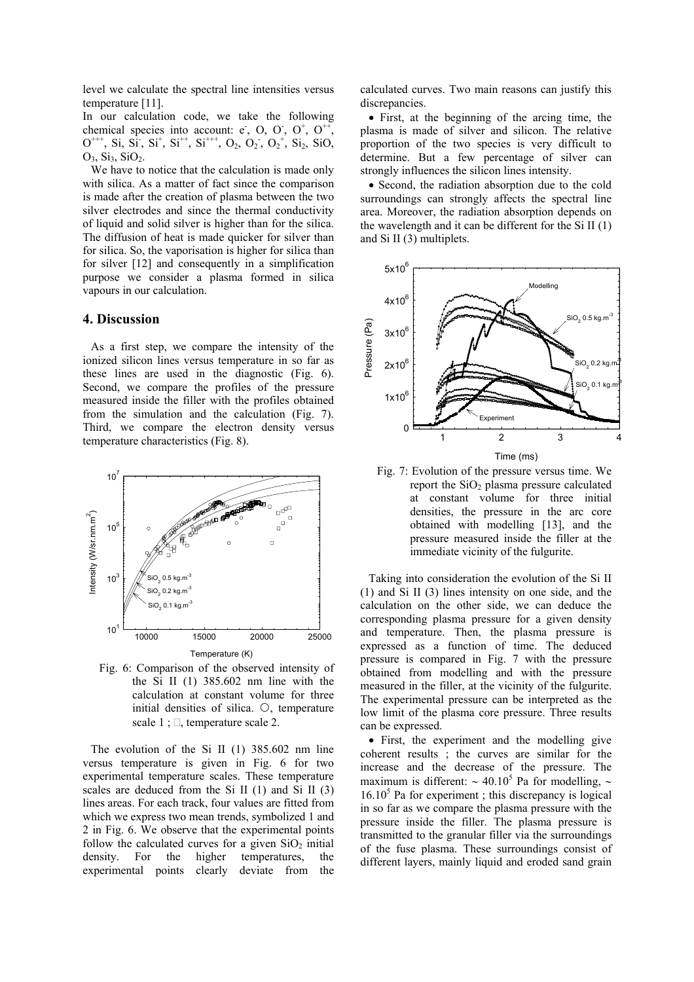level we calculate the spectral line intensities versus temperature [11].

In our calculation code, we take the following chemical species into account:  $e$ , O, O,  $O^+$ ,  $O^{++}$ ,  $O^{++}$ , Si, Si, Si<sup>+</sup>, Si<sup>++</sup>, Si<sup>+++</sup>, O<sub>2</sub>, O<sub>2</sub>, O<sub>2</sub><sup>+</sup>, Si<sub>2</sub>, SiO<sub>2</sub>  $O_3$ ,  $Si_3$ ,  $SiO_2$ .

We have to notice that the calculation is made only with silica. As a matter of fact since the comparison is made after the creation of plasma between the two silver electrodes and since the thermal conductivity of liquid and solid silver is higher than for the silica. The diffusion of heat is made quicker for silver than for silica. So, the vaporisation is higher for silica than for silver [12] and consequently in a simplification purpose we consider a plasma formed in silica vapours in our calculation.

### **4. Discussion**

As a first step, we compare the intensity of the ionized silicon lines versus temperature in so far as these lines are used in the diagnostic (Fig. 6). Second, we compare the profiles of the pressure measured inside the filler with the profiles obtained from the simulation and the calculation (Fig. 7). Third, we compare the electron density versus temperature characteristics (Fig. 8).



Fig. 6: Comparison of the observed intensity of the Si II (1) 385.602 nm line with the calculation at constant volume for three initial densities of silica.  $\circlearrowright$ , temperature scale  $1 : \square$ , temperature scale 2.

The evolution of the Si II (1) 385.602 nm line versus temperature is given in Fig. 6 for two experimental temperature scales. These temperature scales are deduced from the Si II  $(1)$  and Si II  $(3)$ lines areas. For each track, four values are fitted from which we express two mean trends, symbolized 1 and 2 in Fig. 6. We observe that the experimental points follow the calculated curves for a given  $SiO<sub>2</sub>$  initial density. For the higher temperatures, the experimental points clearly deviate from the

calculated curves. Two main reasons can justify this discrepancies.

• First, at the beginning of the arcing time, the plasma is made of silver and silicon. The relative proportion of the two species is very difficult to determine. But a few percentage of silver can strongly influences the silicon lines intensity.

• Second, the radiation absorption due to the cold surroundings can strongly affects the spectral line area. Moreover, the radiation absorption depends on the wavelength and it can be different for the Si II (1) and Si II (3) multiplets.



Fig. 7: Evolution of the pressure versus time. We report the  $SiO<sub>2</sub>$  plasma pressure calculated at constant volume for three initial densities, the pressure in the arc core obtained with modelling [13], and the pressure measured inside the filler at the immediate vicinity of the fulgurite.

Taking into consideration the evolution of the Si II (1) and Si II (3) lines intensity on one side, and the calculation on the other side, we can deduce the corresponding plasma pressure for a given density and temperature. Then, the plasma pressure is expressed as a function of time. The deduced pressure is compared in Fig. 7 with the pressure obtained from modelling and with the pressure measured in the filler, at the vicinity of the fulgurite. The experimental pressure can be interpreted as the low limit of the plasma core pressure. Three results can be expressed.

• First, the experiment and the modelling give coherent results ; the curves are similar for the increase and the decrease of the pressure. The maximum is different:  $\sim 40.10^5$  Pa for modelling,  $\sim$  $16.10<sup>5</sup>$  Pa for experiment ; this discrepancy is logical in so far as we compare the plasma pressure with the pressure inside the filler. The plasma pressure is transmitted to the granular filler via the surroundings of the fuse plasma. These surroundings consist of different layers, mainly liquid and eroded sand grain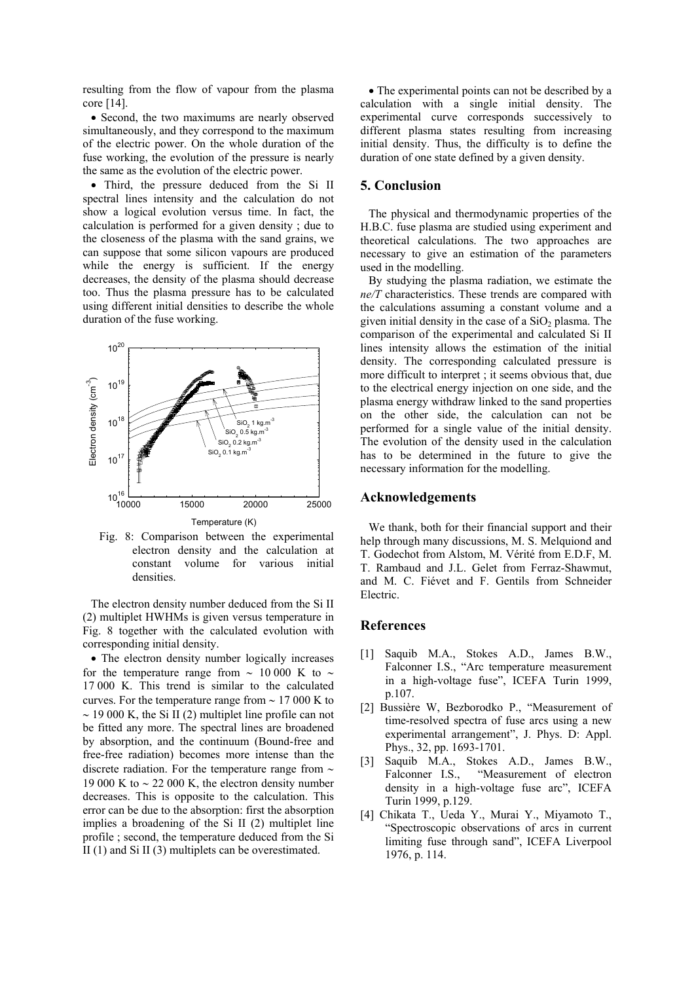resulting from the flow of vapour from the plasma core [14].

• Second, the two maximums are nearly observed simultaneously, and they correspond to the maximum of the electric power. On the whole duration of the fuse working, the evolution of the pressure is nearly the same as the evolution of the electric power.

• Third, the pressure deduced from the Si II spectral lines intensity and the calculation do not show a logical evolution versus time. In fact, the calculation is performed for a given density ; due to the closeness of the plasma with the sand grains, we can suppose that some silicon vapours are produced while the energy is sufficient. If the energy decreases, the density of the plasma should decrease too. Thus the plasma pressure has to be calculated using different initial densities to describe the whole duration of the fuse working.



Fig. 8: Comparison between the experimental electron density and the calculation at constant volume for various initial densities.

The electron density number deduced from the Si II (2) multiplet HWHMs is given versus temperature in Fig. 8 together with the calculated evolution with corresponding initial density.

• The electron density number logically increases for the temperature range from  $\sim$  10 000 K to  $\sim$ 17 000 K. This trend is similar to the calculated curves. For the temperature range from ∼ 17 000 K to ∼ 19 000 K, the Si II (2) multiplet line profile can not be fitted any more. The spectral lines are broadened by absorption, and the continuum (Bound-free and free-free radiation) becomes more intense than the discrete radiation. For the temperature range from ∼ 19 000 K to  $\sim$  22 000 K, the electron density number decreases. This is opposite to the calculation. This error can be due to the absorption: first the absorption implies a broadening of the Si II (2) multiplet line profile ; second, the temperature deduced from the Si II (1) and Si II (3) multiplets can be overestimated.

• The experimental points can not be described by a calculation with a single initial density. The experimental curve corresponds successively to different plasma states resulting from increasing initial density. Thus, the difficulty is to define the duration of one state defined by a given density.

### **5. Conclusion**

The physical and thermodynamic properties of the H.B.C. fuse plasma are studied using experiment and theoretical calculations. The two approaches are necessary to give an estimation of the parameters used in the modelling.

By studying the plasma radiation, we estimate the *ne/T* characteristics. These trends are compared with the calculations assuming a constant volume and a given initial density in the case of a  $SiO<sub>2</sub>$  plasma. The comparison of the experimental and calculated Si II lines intensity allows the estimation of the initial density. The corresponding calculated pressure is more difficult to interpret ; it seems obvious that, due to the electrical energy injection on one side, and the plasma energy withdraw linked to the sand properties on the other side, the calculation can not be performed for a single value of the initial density. The evolution of the density used in the calculation has to be determined in the future to give the necessary information for the modelling.

#### **Acknowledgements**

We thank, both for their financial support and their help through many discussions, M. S. Melquiond and T. Godechot from Alstom, M. Vérité from E.D.F, M. T. Rambaud and J.L. Gelet from Ferraz-Shawmut, and M. C. Fiévet and F. Gentils from Schneider Electric.

#### **References**

- [1] Saquib M.A., Stokes A.D., James B.W., Falconner I.S., "Arc temperature measurement in a high-voltage fuse", ICEFA Turin 1999, p.107.
- [2] Bussière W, Bezborodko P., "Measurement of time-resolved spectra of fuse arcs using a new experimental arrangement", J. Phys. D: Appl. Phys., 32, pp. 1693-1701.
- [3] Saquib M.A., Stokes A.D., James B.W., Falconner I.S., "Measurement of electron density in a high-voltage fuse arc", ICEFA Turin 1999, p.129.
- [4] Chikata T., Ueda Y., Murai Y., Miyamoto T., "Spectroscopic observations of arcs in current limiting fuse through sand", ICEFA Liverpool 1976, p. 114.